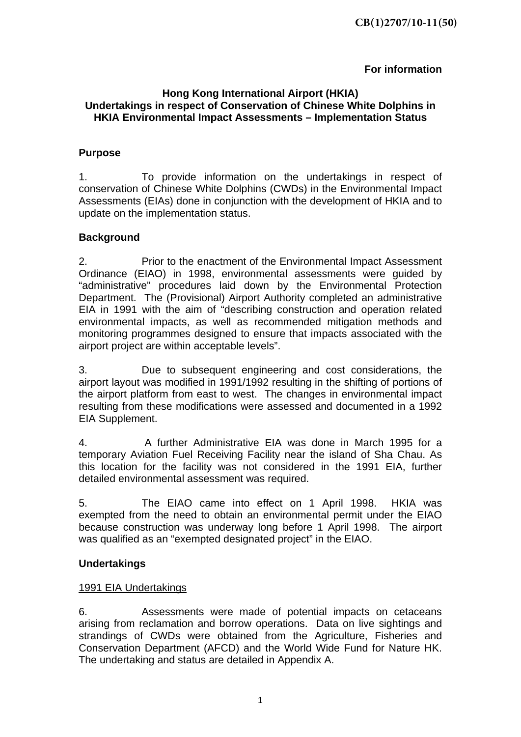### **For information**

#### **Hong Kong International Airport (HKIA) Undertakings in respect of Conservation of Chinese White Dolphins in HKIA Environmental Impact Assessments – Implementation Status**

### **Purpose**

1. To provide information on the undertakings in respect of conservation of Chinese White Dolphins (CWDs) in the Environmental Impact Assessments (EIAs) done in conjunction with the development of HKIA and to update on the implementation status.

#### **Background**

2. Prior to the enactment of the Environmental Impact Assessment Ordinance (EIAO) in 1998, environmental assessments were guided by "administrative" procedures laid down by the Environmental Protection Department. The (Provisional) Airport Authority completed an administrative EIA in 1991 with the aim of "describing construction and operation related environmental impacts, as well as recommended mitigation methods and monitoring programmes designed to ensure that impacts associated with the airport project are within acceptable levels".

3. Due to subsequent engineering and cost considerations, the airport layout was modified in 1991/1992 resulting in the shifting of portions of the airport platform from east to west. The changes in environmental impact resulting from these modifications were assessed and documented in a 1992 EIA Supplement.

4. A further Administrative EIA was done in March 1995 for a temporary Aviation Fuel Receiving Facility near the island of Sha Chau. As this location for the facility was not considered in the 1991 EIA, further detailed environmental assessment was required.

5. The EIAO came into effect on 1 April 1998. HKIA was exempted from the need to obtain an environmental permit under the EIAO because construction was underway long before 1 April 1998. The airport was qualified as an "exempted designated project" in the EIAO.

#### **Undertakings**

#### 1991 EIA Undertakings

6. Assessments were made of potential impacts on cetaceans arising from reclamation and borrow operations. Data on live sightings and strandings of CWDs were obtained from the Agriculture, Fisheries and Conservation Department (AFCD) and the World Wide Fund for Nature HK. The undertaking and status are detailed in Appendix A.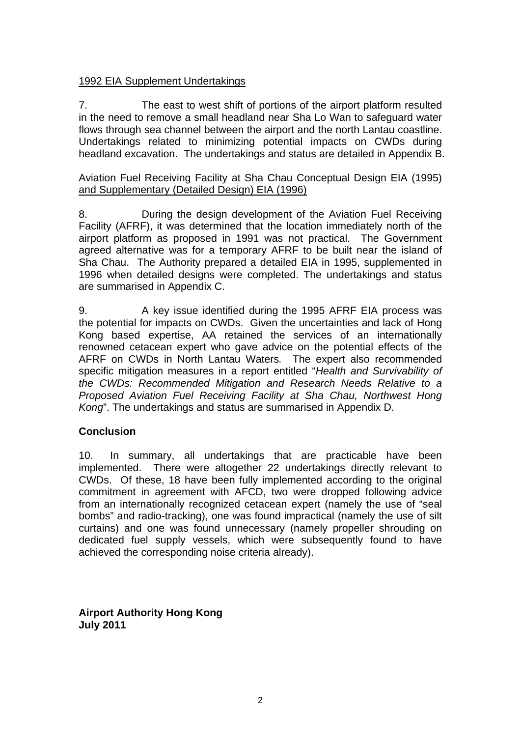### 1992 EIA Supplement Undertakings

7. The east to west shift of portions of the airport platform resulted in the need to remove a small headland near Sha Lo Wan to safeguard water flows through sea channel between the airport and the north Lantau coastline. Undertakings related to minimizing potential impacts on CWDs during headland excavation. The undertakings and status are detailed in Appendix B.

#### Aviation Fuel Receiving Facility at Sha Chau Conceptual Design EIA (1995) and Supplementary (Detailed Design) EIA (1996)

8. During the design development of the Aviation Fuel Receiving Facility (AFRF), it was determined that the location immediately north of the airport platform as proposed in 1991 was not practical. The Government agreed alternative was for a temporary AFRF to be built near the island of Sha Chau. The Authority prepared a detailed EIA in 1995, supplemented in 1996 when detailed designs were completed. The undertakings and status are summarised in Appendix C.

9. A key issue identified during the 1995 AFRF EIA process was the potential for impacts on CWDs. Given the uncertainties and lack of Hong Kong based expertise, AA retained the services of an internationally renowned cetacean expert who gave advice on the potential effects of the AFRF on CWDs in North Lantau Waters*.* The expert also recommended specific mitigation measures in a report entitled "*Health and Survivability of the CWDs: Recommended Mitigation and Research Needs Relative to a Proposed Aviation Fuel Receiving Facility at Sha Chau, Northwest Hong Kong*". The undertakings and status are summarised in Appendix D.

#### **Conclusion**

10. In summary, all undertakings that are practicable have been implemented. There were altogether 22 undertakings directly relevant to CWDs. Of these, 18 have been fully implemented according to the original commitment in agreement with AFCD, two were dropped following advice from an internationally recognized cetacean expert (namely the use of "seal bombs" and radio-tracking), one was found impractical (namely the use of silt curtains) and one was found unnecessary (namely propeller shrouding on dedicated fuel supply vessels, which were subsequently found to have achieved the corresponding noise criteria already).

**Airport Authority Hong Kong July 2011**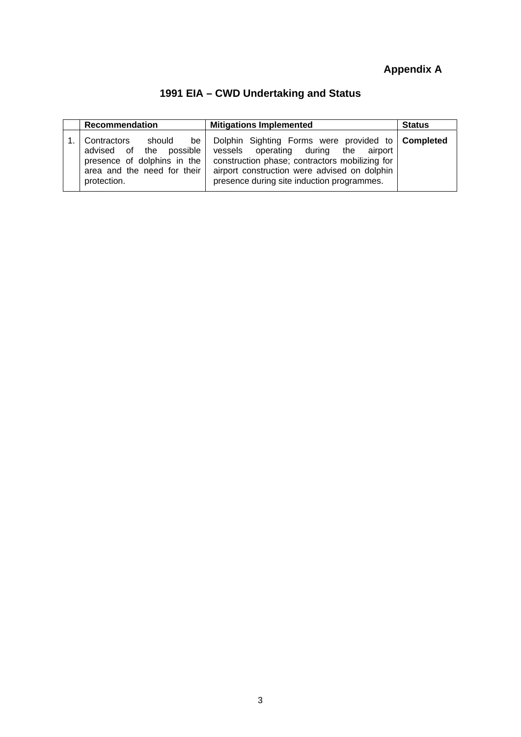# **Appendix A**

# **1991 EIA – CWD Undertaking and Status**

| Recommendation                                                                                                                   | <b>Mitigations Implemented</b>                                                                                                                                                                                                            | <b>Status</b> |
|----------------------------------------------------------------------------------------------------------------------------------|-------------------------------------------------------------------------------------------------------------------------------------------------------------------------------------------------------------------------------------------|---------------|
| should be<br>Contractors<br>advised of the possible<br>presence of dolphins in the<br>area and the need for their<br>protection. | Dolphin Sighting Forms were provided to Completed<br>vessels operating during the airport<br>construction phase; contractors mobilizing for<br>airport construction were advised on dolphin<br>presence during site induction programmes. |               |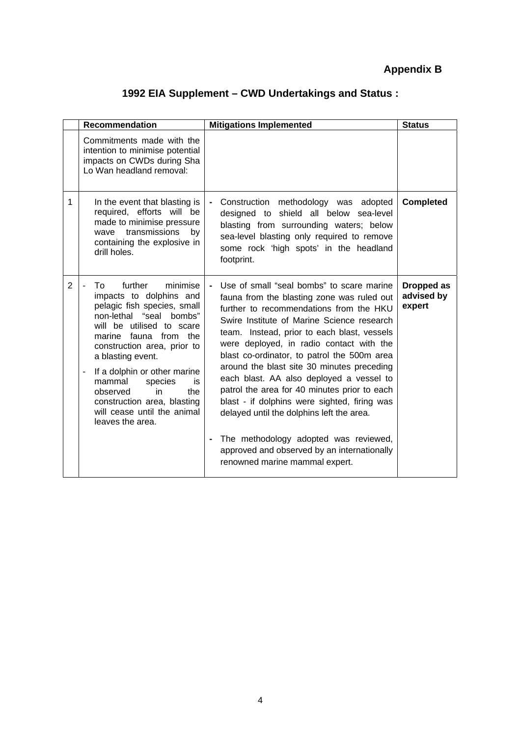# **Appendix B**

# **1992 EIA Supplement – CWD Undertakings and Status :**

|                | Recommendation                                                                                                                                                                                                                                                                                                                                                                                                             | <b>Mitigations Implemented</b>                                                                                                                                                                                                                                                                                                                                                                                                                                                                                                                                                                                                                                                              | <b>Status</b>                      |
|----------------|----------------------------------------------------------------------------------------------------------------------------------------------------------------------------------------------------------------------------------------------------------------------------------------------------------------------------------------------------------------------------------------------------------------------------|---------------------------------------------------------------------------------------------------------------------------------------------------------------------------------------------------------------------------------------------------------------------------------------------------------------------------------------------------------------------------------------------------------------------------------------------------------------------------------------------------------------------------------------------------------------------------------------------------------------------------------------------------------------------------------------------|------------------------------------|
|                | Commitments made with the<br>intention to minimise potential<br>impacts on CWDs during Sha<br>Lo Wan headland removal:                                                                                                                                                                                                                                                                                                     |                                                                                                                                                                                                                                                                                                                                                                                                                                                                                                                                                                                                                                                                                             |                                    |
| 1              | In the event that blasting is<br>required, efforts will be<br>made to minimise pressure<br>transmissions<br>by<br>wave<br>containing the explosive in<br>drill holes.                                                                                                                                                                                                                                                      | Construction methodology was adopted<br>designed to shield all below<br>sea-level<br>blasting from surrounding waters; below<br>sea-level blasting only required to remove<br>some rock 'high spots' in the headland<br>footprint.                                                                                                                                                                                                                                                                                                                                                                                                                                                          | <b>Completed</b>                   |
| $\overline{2}$ | further<br>To<br>minimise<br>$\overline{\phantom{0}}$<br>impacts to dolphins and<br>pelagic fish species, small<br>non-lethal "seal bombs"<br>will be utilised to scare<br>marine fauna from the<br>construction area, prior to<br>a blasting event.<br>If a dolphin or other marine<br>mammal<br>species<br>is<br>the<br>observed<br>in<br>construction area, blasting<br>will cease until the animal<br>leaves the area. | Use of small "seal bombs" to scare marine<br>fauna from the blasting zone was ruled out<br>further to recommendations from the HKU<br>Swire Institute of Marine Science research<br>team. Instead, prior to each blast, vessels<br>were deployed, in radio contact with the<br>blast co-ordinator, to patrol the 500m area<br>around the blast site 30 minutes preceding<br>each blast. AA also deployed a vessel to<br>patrol the area for 40 minutes prior to each<br>blast - if dolphins were sighted, firing was<br>delayed until the dolphins left the area.<br>The methodology adopted was reviewed,<br>approved and observed by an internationally<br>renowned marine mammal expert. | Dropped as<br>advised by<br>expert |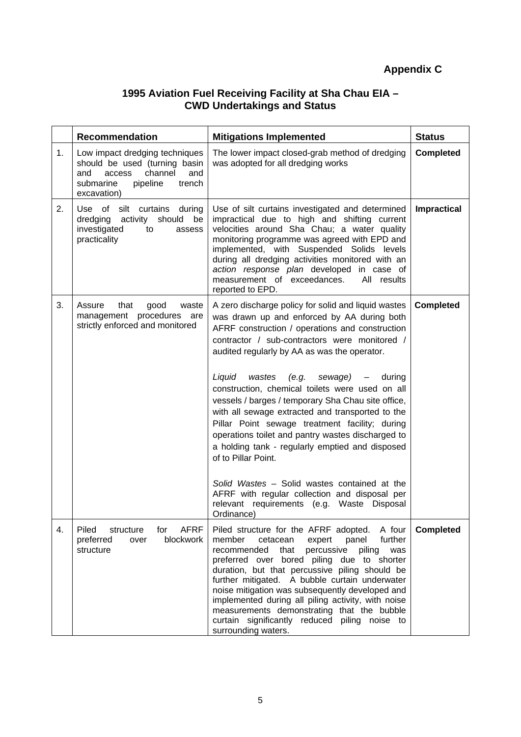### **1995 Aviation Fuel Receiving Facility at Sha Chau EIA – CWD Undertakings and Status**

|    | <b>Recommendation</b>                                                                                                                                | <b>Mitigations Implemented</b>                                                                                                                                                                                                                                                                                                                                                                                                                                                                                                                                                                                                                                                                                                                                                                                                                  | <b>Status</b>      |
|----|------------------------------------------------------------------------------------------------------------------------------------------------------|-------------------------------------------------------------------------------------------------------------------------------------------------------------------------------------------------------------------------------------------------------------------------------------------------------------------------------------------------------------------------------------------------------------------------------------------------------------------------------------------------------------------------------------------------------------------------------------------------------------------------------------------------------------------------------------------------------------------------------------------------------------------------------------------------------------------------------------------------|--------------------|
| 1. | Low impact dredging techniques<br>should be used (turning basin<br>access<br>channel<br>and<br>and<br>submarine<br>pipeline<br>trench<br>excavation) | The lower impact closed-grab method of dredging<br>was adopted for all dredging works                                                                                                                                                                                                                                                                                                                                                                                                                                                                                                                                                                                                                                                                                                                                                           | <b>Completed</b>   |
| 2. | Use of silt curtains during<br>dredging activity should<br>be<br>investigated<br>to<br>assess<br>practicality                                        | Use of silt curtains investigated and determined<br>impractical due to high and shifting current<br>velocities around Sha Chau; a water quality<br>monitoring programme was agreed with EPD and<br>implemented, with Suspended Solids levels<br>during all dredging activities monitored with an<br>action response plan developed in case of<br>measurement of exceedances.<br>All results<br>reported to EPD.                                                                                                                                                                                                                                                                                                                                                                                                                                 | <b>Impractical</b> |
| 3. | Assure<br>that<br>good<br>waste<br>management procedures<br>are<br>strictly enforced and monitored                                                   | A zero discharge policy for solid and liquid wastes<br>was drawn up and enforced by AA during both<br>AFRF construction / operations and construction<br>contractor / sub-contractors were monitored /<br>audited regularly by AA as was the operator.<br>Liquid<br>wastes<br>(e.g.<br>sewage)<br>during<br>$\overline{\phantom{m}}$<br>construction, chemical toilets were used on all<br>vessels / barges / temporary Sha Chau site office,<br>with all sewage extracted and transported to the<br>Pillar Point sewage treatment facility; during<br>operations toilet and pantry wastes discharged to<br>a holding tank - regularly emptied and disposed<br>of to Pillar Point.<br>Solid Wastes - Solid wastes contained at the<br>AFRF with regular collection and disposal per<br>relevant requirements (e.g. Waste Disposal<br>Ordinance) | <b>Completed</b>   |
| 4. | <b>AFRF</b><br>Piled<br>structure<br>for<br>blockwork<br>preferred<br>over<br>structure                                                              | Piled structure for the AFRF adopted.<br>A four<br>member<br>cetacean<br>further<br>expert<br>panel<br>percussive piling<br>recommended<br>that<br>was<br>preferred over bored piling due to shorter<br>duration, but that percussive piling should be<br>further mitigated. A bubble curtain underwater<br>noise mitigation was subsequently developed and<br>implemented during all piling activity, with noise<br>measurements demonstrating that the bubble<br>curtain significantly reduced piling noise to<br>surrounding waters.                                                                                                                                                                                                                                                                                                         | <b>Completed</b>   |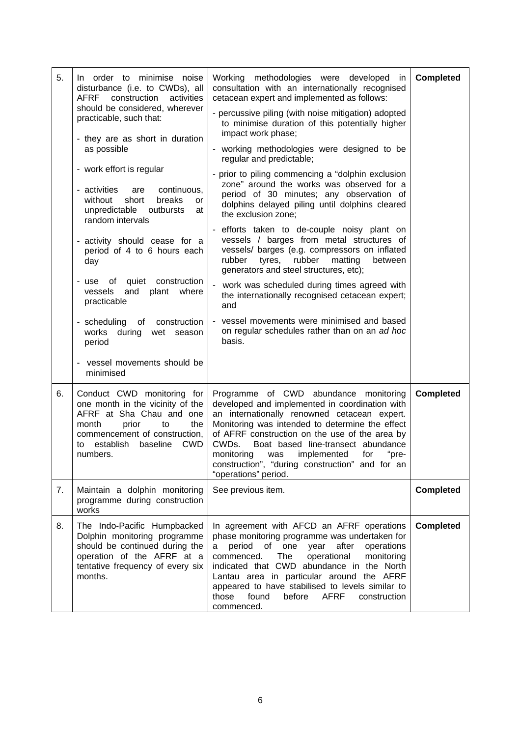| 5. | In order to minimise noise<br>disturbance (i.e. to CWDs), all<br><b>AFRF</b><br>construction<br>activities<br>should be considered, wherever<br>practicable, such that:<br>- they are as short in duration<br>as possible<br>- work effort is regular<br>- activities<br>continuous,<br>are<br>without<br>short<br>breaks<br>or<br>unpredictable outbursts<br>at<br>random intervals<br>- activity should cease for a<br>period of 4 to 6 hours each<br>day<br>quiet construction<br>of<br>- use<br>and<br>plant<br>where<br>vessels<br>practicable<br>- scheduling<br>of<br>construction<br>works during wet season<br>period | Working methodologies were developed<br>in<br>consultation with an internationally recognised<br>cetacean expert and implemented as follows:<br>- percussive piling (with noise mitigation) adopted<br>to minimise duration of this potentially higher<br>impact work phase;<br>working methodologies were designed to be<br>regular and predictable;<br>prior to piling commencing a "dolphin exclusion<br>zone" around the works was observed for a<br>period of 30 minutes; any observation of<br>dolphins delayed piling until dolphins cleared<br>the exclusion zone;<br>efforts taken to de-couple noisy plant on<br>vessels / barges from metal structures of<br>vessels/ barges (e.g. compressors on inflated<br>rubber<br>matting<br>rubber<br>tyres,<br>between<br>generators and steel structures, etc);<br>work was scheduled during times agreed with<br>the internationally recognised cetacean expert;<br>and<br>vessel movements were minimised and based<br>on regular schedules rather than on an ad hoc<br>basis. | <b>Completed</b> |
|----|--------------------------------------------------------------------------------------------------------------------------------------------------------------------------------------------------------------------------------------------------------------------------------------------------------------------------------------------------------------------------------------------------------------------------------------------------------------------------------------------------------------------------------------------------------------------------------------------------------------------------------|--------------------------------------------------------------------------------------------------------------------------------------------------------------------------------------------------------------------------------------------------------------------------------------------------------------------------------------------------------------------------------------------------------------------------------------------------------------------------------------------------------------------------------------------------------------------------------------------------------------------------------------------------------------------------------------------------------------------------------------------------------------------------------------------------------------------------------------------------------------------------------------------------------------------------------------------------------------------------------------------------------------------------------------|------------------|
|    | - vessel movements should be<br>minimised                                                                                                                                                                                                                                                                                                                                                                                                                                                                                                                                                                                      |                                                                                                                                                                                                                                                                                                                                                                                                                                                                                                                                                                                                                                                                                                                                                                                                                                                                                                                                                                                                                                      |                  |
| 6. | Conduct CWD monitoring for<br>one month in the vicinity of the<br>AFRF at Sha Chau and one<br>month<br>prior<br>the<br>to<br>commencement of construction,<br>establish<br><b>CWD</b><br>baseline<br>to<br>numbers.                                                                                                                                                                                                                                                                                                                                                                                                            | Programme of CWD abundance monitoring<br>developed and implemented in coordination with<br>an internationally renowned cetacean expert.<br>Monitoring was intended to determine the effect<br>of AFRF construction on the use of the area by<br>CWDs.<br>Boat based line-transect abundance<br>"pre-<br>monitoring<br>implemented<br>for<br>was<br>construction", "during construction" and for an<br>"operations" period.                                                                                                                                                                                                                                                                                                                                                                                                                                                                                                                                                                                                           | <b>Completed</b> |
| 7. | Maintain a dolphin monitoring<br>programme during construction<br>works                                                                                                                                                                                                                                                                                                                                                                                                                                                                                                                                                        | See previous item.                                                                                                                                                                                                                                                                                                                                                                                                                                                                                                                                                                                                                                                                                                                                                                                                                                                                                                                                                                                                                   | <b>Completed</b> |
| 8. | The Indo-Pacific Humpbacked<br>Dolphin monitoring programme<br>should be continued during the<br>operation of the AFRF at a<br>tentative frequency of every six<br>months.                                                                                                                                                                                                                                                                                                                                                                                                                                                     | In agreement with AFCD an AFRF operations<br>phase monitoring programme was undertaken for<br>period of<br>one<br>after<br>operations<br>year<br>a<br>The<br>operational<br>monitoring<br>commenced.<br>indicated that CWD abundance in the North<br>Lantau area in particular around the AFRF<br>appeared to have stabilised to levels similar to<br>those<br>found<br>before<br><b>AFRF</b><br>construction<br>commenced.                                                                                                                                                                                                                                                                                                                                                                                                                                                                                                                                                                                                          | <b>Completed</b> |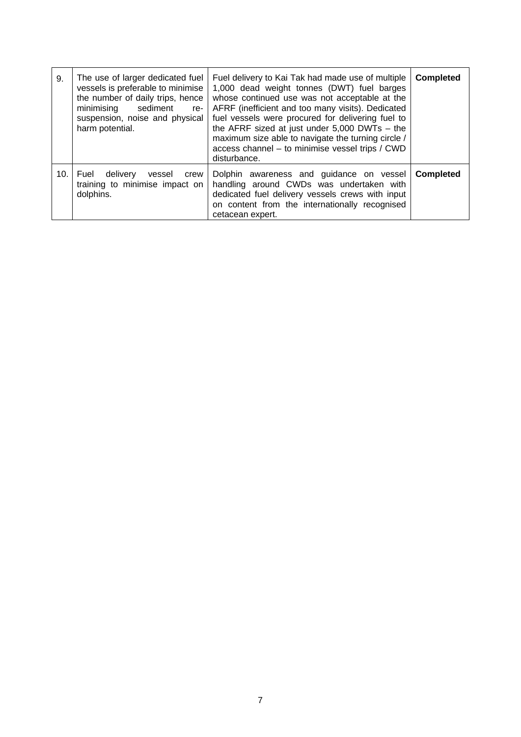| 9.  | The use of larger dedicated fuel<br>vessels is preferable to minimise<br>the number of daily trips, hence<br>minimising<br>sediment<br>re-<br>suspension, noise and physical<br>harm potential. | Fuel delivery to Kai Tak had made use of multiple<br>1,000 dead weight tonnes (DWT) fuel barges<br>whose continued use was not acceptable at the<br>AFRF (inefficient and too many visits). Dedicated<br>fuel vessels were procured for delivering fuel to<br>the AFRF sized at just under $5,000$ DWTs - the<br>maximum size able to navigate the turning circle /<br>access channel - to minimise vessel trips / CWD<br>disturbance. | <b>Completed</b> |
|-----|-------------------------------------------------------------------------------------------------------------------------------------------------------------------------------------------------|----------------------------------------------------------------------------------------------------------------------------------------------------------------------------------------------------------------------------------------------------------------------------------------------------------------------------------------------------------------------------------------------------------------------------------------|------------------|
| 10. | Fuel<br>delivery<br>vessel<br>crew<br>training to minimise impact on<br>dolphins.                                                                                                               | Dolphin awareness and guidance on vessel<br>handling around CWDs was undertaken with<br>dedicated fuel delivery vessels crews with input<br>on content from the internationally recognised<br>cetacean expert.                                                                                                                                                                                                                         | Completed        |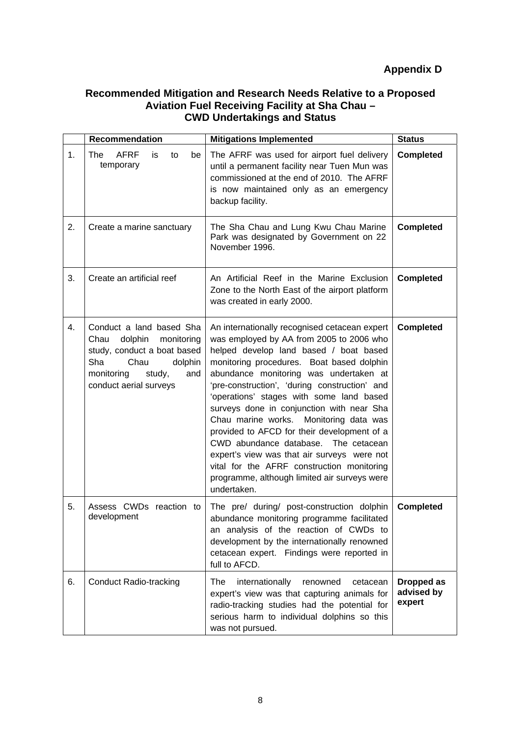### **Recommended Mitigation and Research Needs Relative to a Proposed Aviation Fuel Receiving Facility at Sha Chau – CWD Undertakings and Status**

|    | Recommendation                                                                                                                                                              | <b>Mitigations Implemented</b>                                                                                                                                                                                                                                                                                                                                                                                                                                                                                                                                                                                                                                    | <b>Status</b>                      |
|----|-----------------------------------------------------------------------------------------------------------------------------------------------------------------------------|-------------------------------------------------------------------------------------------------------------------------------------------------------------------------------------------------------------------------------------------------------------------------------------------------------------------------------------------------------------------------------------------------------------------------------------------------------------------------------------------------------------------------------------------------------------------------------------------------------------------------------------------------------------------|------------------------------------|
| 1. | <b>AFRF</b><br>The<br>is<br>to<br>be<br>temporary                                                                                                                           | The AFRF was used for airport fuel delivery<br>until a permanent facility near Tuen Mun was<br>commissioned at the end of 2010. The AFRF<br>is now maintained only as an emergency<br>backup facility.                                                                                                                                                                                                                                                                                                                                                                                                                                                            | <b>Completed</b>                   |
| 2. | Create a marine sanctuary                                                                                                                                                   | The Sha Chau and Lung Kwu Chau Marine<br>Park was designated by Government on 22<br>November 1996.                                                                                                                                                                                                                                                                                                                                                                                                                                                                                                                                                                | <b>Completed</b>                   |
| 3. | Create an artificial reef                                                                                                                                                   | An Artificial Reef in the Marine Exclusion<br>Zone to the North East of the airport platform<br>was created in early 2000.                                                                                                                                                                                                                                                                                                                                                                                                                                                                                                                                        | <b>Completed</b>                   |
| 4. | Conduct a land based Sha<br>dolphin<br>monitoring<br>Chau<br>study, conduct a boat based<br>Sha<br>Chau<br>dolphin<br>monitoring<br>study,<br>and<br>conduct aerial surveys | An internationally recognised cetacean expert<br>was employed by AA from 2005 to 2006 who<br>helped develop land based / boat based<br>monitoring procedures. Boat based dolphin<br>abundance monitoring was undertaken at<br>'pre-construction', 'during construction' and<br>'operations' stages with some land based<br>surveys done in conjunction with near Sha<br>Chau marine works. Monitoring data was<br>provided to AFCD for their development of a<br>CWD abundance database. The cetacean<br>expert's view was that air surveys were not<br>vital for the AFRF construction monitoring<br>programme, although limited air surveys were<br>undertaken. | <b>Completed</b>                   |
| 5. | Assess CWDs<br>reaction to<br>development                                                                                                                                   | The pre/ during/ post-construction dolphin<br>abundance monitoring programme facilitated<br>an analysis of the reaction of CWDs to<br>development by the internationally renowned<br>cetacean expert. Findings were reported in<br>full to AFCD.                                                                                                                                                                                                                                                                                                                                                                                                                  | <b>Completed</b>                   |
| 6. | <b>Conduct Radio-tracking</b>                                                                                                                                               | internationally<br>The<br>renowned<br>cetacean<br>expert's view was that capturing animals for<br>radio-tracking studies had the potential for<br>serious harm to individual dolphins so this<br>was not pursued.                                                                                                                                                                                                                                                                                                                                                                                                                                                 | Dropped as<br>advised by<br>expert |